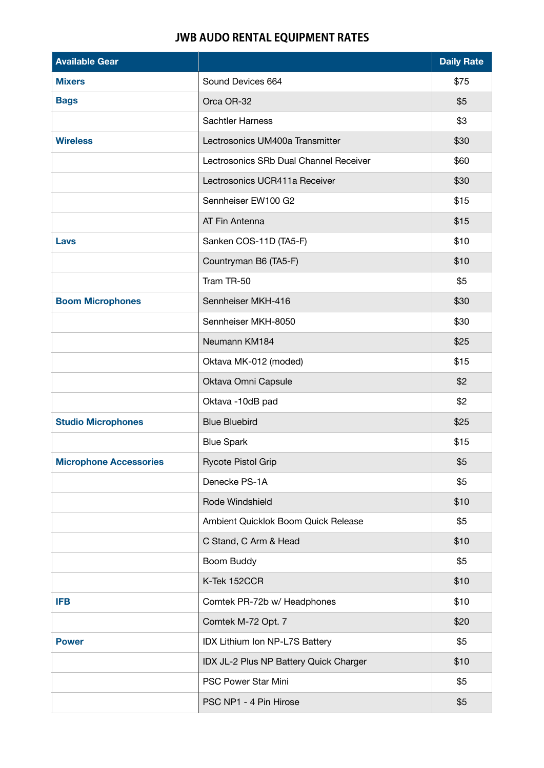## **JWB AUDO RENTAL EQUIPMENT RATES**

| <b>Available Gear</b>         |                                        | <b>Daily Rate</b> |
|-------------------------------|----------------------------------------|-------------------|
| <b>Mixers</b>                 | Sound Devices 664                      | \$75              |
| <b>Bags</b>                   | Orca OR-32                             | \$5               |
|                               | Sachtler Harness                       | \$3               |
| <b>Wireless</b>               | Lectrosonics UM400a Transmitter        | \$30              |
|                               | Lectrosonics SRb Dual Channel Receiver | \$60              |
|                               | Lectrosonics UCR411a Receiver          | \$30              |
|                               | Sennheiser EW100 G2                    | \$15              |
|                               | AT Fin Antenna                         | \$15              |
| Lavs                          | Sanken COS-11D (TA5-F)                 | \$10              |
|                               | Countryman B6 (TA5-F)                  | \$10              |
|                               | Tram TR-50                             | \$5               |
| <b>Boom Microphones</b>       | Sennheiser MKH-416                     | \$30              |
|                               | Sennheiser MKH-8050                    | \$30              |
|                               | Neumann KM184                          | \$25              |
|                               | Oktava MK-012 (moded)                  | \$15              |
|                               | Oktava Omni Capsule                    | \$2               |
|                               | Oktava -10dB pad                       | \$2               |
| <b>Studio Microphones</b>     | <b>Blue Bluebird</b>                   | \$25              |
|                               | <b>Blue Spark</b>                      | \$15              |
| <b>Microphone Accessories</b> | Rycote Pistol Grip                     | \$5               |
|                               | Denecke PS-1A                          | \$5               |
|                               | Rode Windshield                        | \$10              |
|                               | Ambient Quicklok Boom Quick Release    | \$5               |
|                               | C Stand, C Arm & Head                  | \$10              |
|                               | Boom Buddy                             | \$5               |
|                               | K-Tek 152CCR                           | \$10              |
| <b>IFB</b>                    | Comtek PR-72b w/ Headphones            | \$10              |
|                               | Comtek M-72 Opt. 7                     | \$20              |
| <b>Power</b>                  | IDX Lithium Ion NP-L7S Battery         | \$5               |
|                               | IDX JL-2 Plus NP Battery Quick Charger | \$10              |
|                               | PSC Power Star Mini                    | \$5               |
|                               | PSC NP1 - 4 Pin Hirose                 | \$5               |